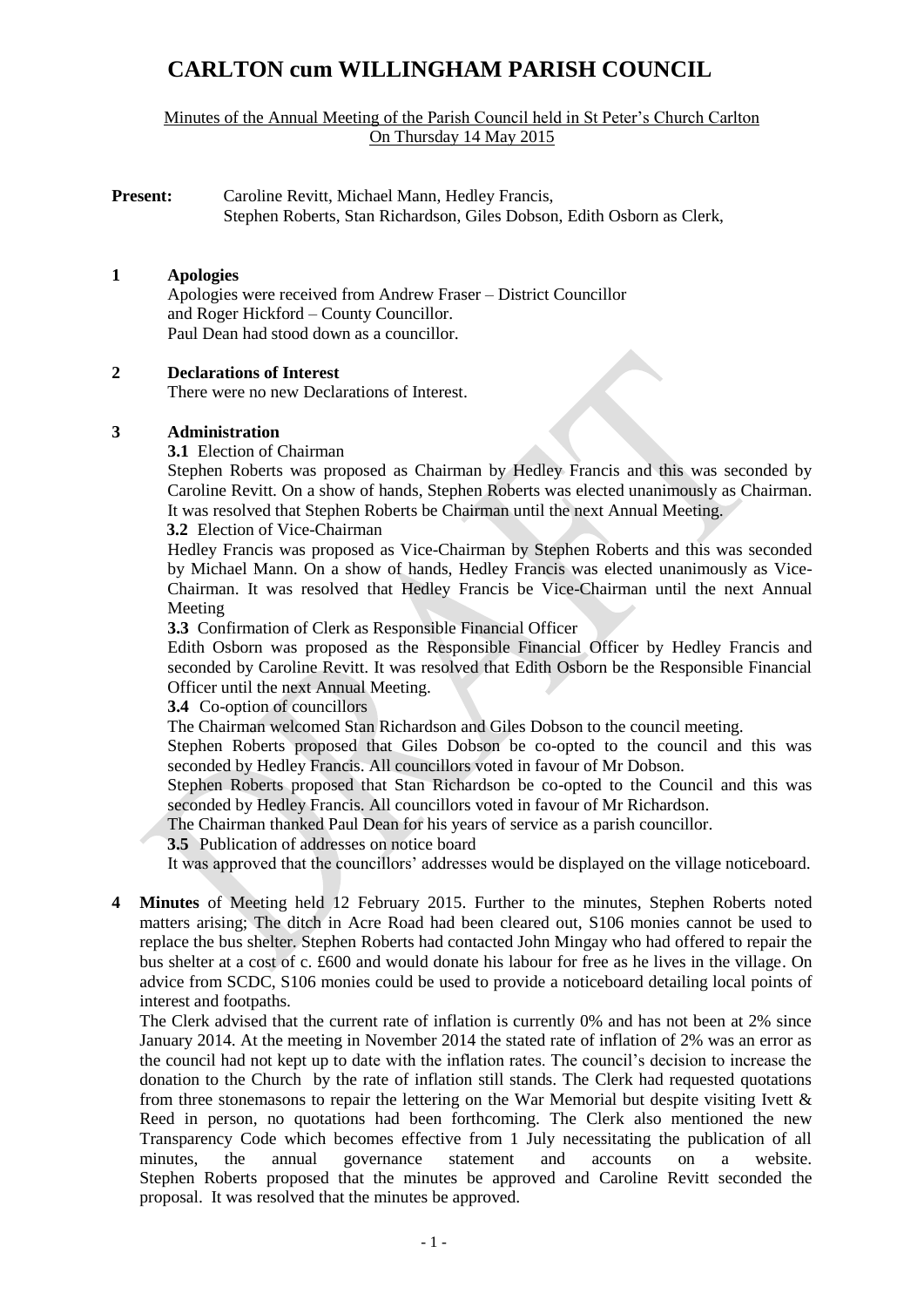# **CARLTON cum WILLINGHAM PARISH COUNCIL**

Minutes of the Annual Meeting of the Parish Council held in St Peter's Church Carlton On Thursday 14 May 2015

**Present:** Caroline Revitt, Michael Mann, Hedley Francis, Stephen Roberts, Stan Richardson, Giles Dobson, Edith Osborn as Clerk,

#### **1 Apologies**

Apologies were received from Andrew Fraser – District Councillor and Roger Hickford – County Councillor. Paul Dean had stood down as a councillor.

#### **2 Declarations of Interest**

There were no new Declarations of Interest.

#### **3 Administration**

**3.1** Election of Chairman

Stephen Roberts was proposed as Chairman by Hedley Francis and this was seconded by Caroline Revitt. On a show of hands, Stephen Roberts was elected unanimously as Chairman. It was resolved that Stephen Roberts be Chairman until the next Annual Meeting.

#### **3.2** Election of Vice-Chairman

Hedley Francis was proposed as Vice-Chairman by Stephen Roberts and this was seconded by Michael Mann. On a show of hands, Hedley Francis was elected unanimously as Vice-Chairman. It was resolved that Hedley Francis be Vice-Chairman until the next Annual Meeting

**3.3** Confirmation of Clerk as Responsible Financial Officer

Edith Osborn was proposed as the Responsible Financial Officer by Hedley Francis and seconded by Caroline Revitt. It was resolved that Edith Osborn be the Responsible Financial Officer until the next Annual Meeting.

**3.4** Co-option of councillors

The Chairman welcomed Stan Richardson and Giles Dobson to the council meeting.

Stephen Roberts proposed that Giles Dobson be co-opted to the council and this was seconded by Hedley Francis. All councillors voted in favour of Mr Dobson.

Stephen Roberts proposed that Stan Richardson be co-opted to the Council and this was seconded by Hedley Francis. All councillors voted in favour of Mr Richardson.

The Chairman thanked Paul Dean for his years of service as a parish councillor.

**3.5** Publication of addresses on notice board

It was approved that the councillors' addresses would be displayed on the village noticeboard.

**4 Minutes** of Meeting held 12 February 2015. Further to the minutes, Stephen Roberts noted matters arising; The ditch in Acre Road had been cleared out, S106 monies cannot be used to replace the bus shelter. Stephen Roberts had contacted John Mingay who had offered to repair the bus shelter at a cost of c. £600 and would donate his labour for free as he lives in the village. On advice from SCDC, S106 monies could be used to provide a noticeboard detailing local points of interest and footpaths.

The Clerk advised that the current rate of inflation is currently 0% and has not been at 2% since January 2014. At the meeting in November 2014 the stated rate of inflation of 2% was an error as the council had not kept up to date with the inflation rates. The council's decision to increase the donation to the Church by the rate of inflation still stands. The Clerk had requested quotations from three stonemasons to repair the lettering on the War Memorial but despite visiting Ivett & Reed in person, no quotations had been forthcoming. The Clerk also mentioned the new Transparency Code which becomes effective from 1 July necessitating the publication of all minutes, the annual governance statement and accounts on a website. Stephen Roberts proposed that the minutes be approved and Caroline Revitt seconded the proposal. It was resolved that the minutes be approved.